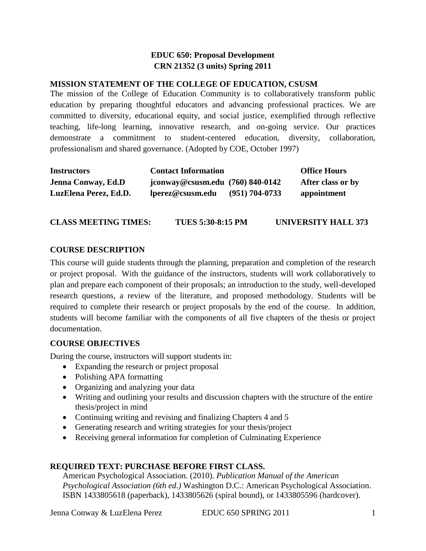# **EDUC 650: Proposal Development CRN 21352 (3 units) Spring 2011**

#### **MISSION STATEMENT OF THE COLLEGE OF EDUCATION, CSUSM**

The mission of the College of Education Community is to collaboratively transform public education by preparing thoughtful educators and advancing professional practices. We are committed to diversity, educational equity, and social justice, exemplified through reflective teaching, life-long learning, innovative research, and on-going service. Our practices demonstrate a commitment to student-centered education, diversity, collaboration, professionalism and shared governance. (Adopted by COE, October 1997)

| <b>Instructors</b>        | <b>Contact Information</b>         |                    | <b>Office Hours</b> |
|---------------------------|------------------------------------|--------------------|---------------------|
| <b>Jenna Conway, Ed.D</b> | jconway@csusm.edu $(760)$ 840-0142 |                    | After class or by   |
| LuzElena Perez, Ed.D.     | lperez@csusm.edu                   | $(951) 704 - 0733$ | appointment         |

| <b>CLASS MEETING TIMES:</b> | <b>TUES 5:30-8:15 PM</b> | UNIVERSITY HALL 373 |
|-----------------------------|--------------------------|---------------------|
|                             |                          |                     |

#### **COURSE DESCRIPTION**

This course will guide students through the planning, preparation and completion of the research or project proposal. With the guidance of the instructors, students will work collaboratively to plan and prepare each component of their proposals; an introduction to the study, well-developed research questions, a review of the literature, and proposed methodology. Students will be required to complete their research or project proposals by the end of the course. In addition, students will become familiar with the components of all five chapters of the thesis or project documentation.

#### **COURSE OBJECTIVES**

During the course, instructors will support students in:

- Expanding the research or project proposal
- Polishing APA formatting
- Organizing and analyzing your data
- Writing and outlining your results and discussion chapters with the structure of the entire thesis/project in mind
- Continuing writing and revising and finalizing Chapters 4 and 5
- Generating research and writing strategies for your thesis/project
- Receiving general information for completion of Culminating Experience

#### **REQUIRED TEXT: PURCHASE BEFORE FIRST CLASS.**

American Psychological Association. (2010). *Publication Manual of the American Psychological Association (6th ed.)* Washington D.C.: American Psychological Association. ISBN 1433805618 (paperback), 1433805626 (spiral bound), or 1433805596 (hardcover).

Jenna Conway & LuzElena Perez EDUC 650 SPRING 2011 1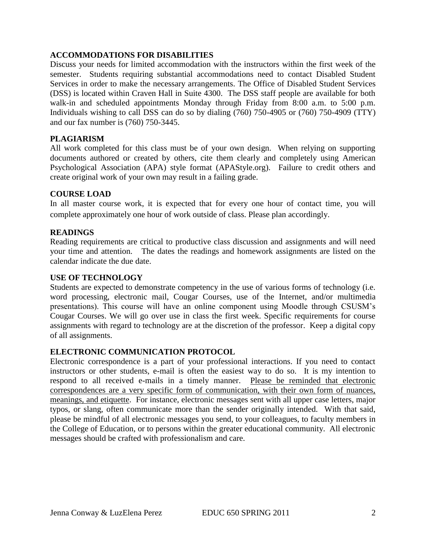### **ACCOMMODATIONS FOR DISABILITIES**

Discuss your needs for limited accommodation with the instructors within the first week of the semester. Students requiring substantial accommodations need to contact Disabled Student Services in order to make the necessary arrangements. The Office of Disabled Student Services (DSS) is located within Craven Hall in Suite 4300. The DSS staff people are available for both walk-in and scheduled appointments Monday through Friday from 8:00 a.m. to 5:00 p.m. Individuals wishing to call DSS can do so by dialing (760) 750-4905 or (760) 750-4909 (TTY) and our fax number is (760) 750-3445.

#### **PLAGIARISM**

All work completed for this class must be of your own design. When relying on supporting documents authored or created by others, cite them clearly and completely using American Psychological Association (APA) style format (APAStyle.org). Failure to credit others and create original work of your own may result in a failing grade.

### **COURSE LOAD**

In all master course work, it is expected that for every one hour of contact time, you will complete approximately one hour of work outside of class. Please plan accordingly.

#### **READINGS**

Reading requirements are critical to productive class discussion and assignments and will need your time and attention. The dates the readings and homework assignments are listed on the calendar indicate the due date.

#### **USE OF TECHNOLOGY**

Students are expected to demonstrate competency in the use of various forms of technology (i.e. word processing, electronic mail, Cougar Courses, use of the Internet, and/or multimedia presentations). This course will have an online component using Moodle through CSUSM's Cougar Courses. We will go over use in class the first week. Specific requirements for course assignments with regard to technology are at the discretion of the professor. Keep a digital copy of all assignments.

#### **ELECTRONIC COMMUNICATION PROTOCOL**

Electronic correspondence is a part of your professional interactions. If you need to contact instructors or other students, e-mail is often the easiest way to do so. It is my intention to respond to all received e-mails in a timely manner. Please be reminded that electronic correspondences are a very specific form of communication, with their own form of nuances, meanings, and etiquette. For instance, electronic messages sent with all upper case letters, major typos, or slang, often communicate more than the sender originally intended. With that said, please be mindful of all electronic messages you send, to your colleagues, to faculty members in the College of Education, or to persons within the greater educational community. All electronic messages should be crafted with professionalism and care.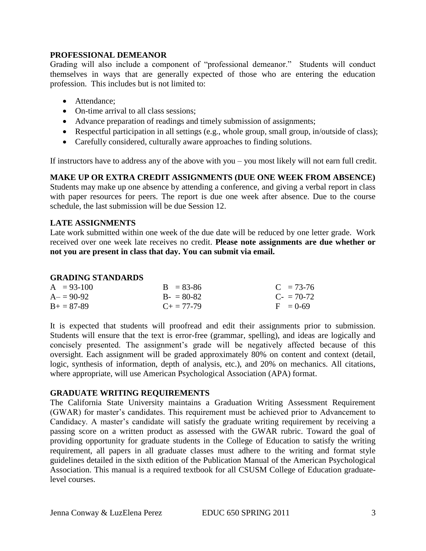#### **PROFESSIONAL DEMEANOR**

Grading will also include a component of "professional demeanor." Students will conduct themselves in ways that are generally expected of those who are entering the education profession. This includes but is not limited to:

- Attendance;
- On-time arrival to all class sessions;
- Advance preparation of readings and timely submission of assignments;
- Respectful participation in all settings (e.g., whole group, small group, in/outside of class);
- Carefully considered, culturally aware approaches to finding solutions.

If instructors have to address any of the above with you – you most likely will not earn full credit.

**MAKE UP OR EXTRA CREDIT ASSIGNMENTS (DUE ONE WEEK FROM ABSENCE)**

Students may make up one absence by attending a conference, and giving a verbal report in class with paper resources for peers. The report is due one week after absence. Due to the course schedule, the last submission will be due Session 12.

### **LATE ASSIGNMENTS**

Late work submitted within one week of the due date will be reduced by one letter grade. Work received over one week late receives no credit. **Please note assignments are due whether or not you are present in class that day. You can submit via email.**

#### **GRADING STANDARDS**

| $A = 93-100$      | $B = 83-86$         | $C = 73-76$            |
|-------------------|---------------------|------------------------|
| $A = 90-92$       | $B - 80-82$         | $C_{\rm{f}} = 70 - 72$ |
| $B_{+} = 87 - 89$ | $C_{\pm} = 77 - 79$ | $F = 0.69$             |

It is expected that students will proofread and edit their assignments prior to submission. Students will ensure that the text is error-free (grammar, spelling), and ideas are logically and concisely presented. The assignment's grade will be negatively affected because of this oversight. Each assignment will be graded approximately 80% on content and context (detail, logic, synthesis of information, depth of analysis, etc.), and 20% on mechanics. All citations, where appropriate, will use American Psychological Association (APA) format.

#### **GRADUATE WRITING REQUIREMENTS**

The California State University maintains a Graduation Writing Assessment Requirement (GWAR) for master's candidates. This requirement must be achieved prior to Advancement to Candidacy. A master's candidate will satisfy the graduate writing requirement by receiving a passing score on a written product as assessed with the GWAR rubric. Toward the goal of providing opportunity for graduate students in the College of Education to satisfy the writing requirement, all papers in all graduate classes must adhere to the writing and format style guidelines detailed in the sixth edition of the Publication Manual of the American Psychological Association. This manual is a required textbook for all CSUSM College of Education graduatelevel courses.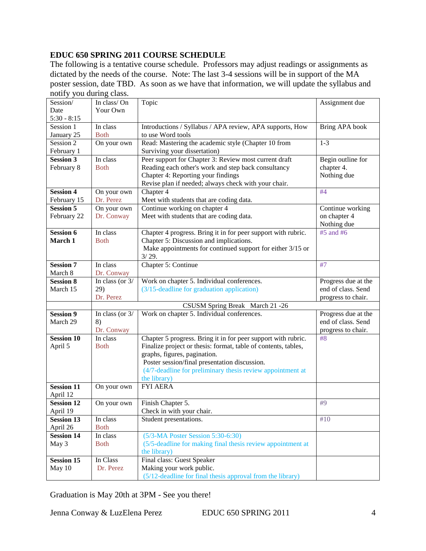# **EDUC 650 SPRING 2011 COURSE SCHEDULE**

The following is a tentative course schedule. Professors may adjust readings or assignments as dictated by the needs of the course. Note: The last 3-4 sessions will be in support of the MA poster session, date TBD. As soon as we have that information, we will update the syllabus and notify you during class.

| Session/          | In class/On              | Topic                                                          | Assignment due      |
|-------------------|--------------------------|----------------------------------------------------------------|---------------------|
| Date              | Your Own                 |                                                                |                     |
| $5:30 - 8:15$     |                          |                                                                |                     |
| Session 1         | In class                 | Introductions / Syllabus / APA review, APA supports, How       | Bring APA book      |
| January 25        | <b>Both</b>              | to use Word tools                                              |                     |
| Session 2         | $\overline{On}$ your own | Read: Mastering the academic style (Chapter 10 from            | $1 - 3$             |
| February 1        |                          | Surviving your dissertation)                                   |                     |
| <b>Session 3</b>  | In class                 | Peer support for Chapter 3: Review most current draft          | Begin outline for   |
| February 8        | <b>Both</b>              | Reading each other's work and step back consultancy            | chapter 4.          |
|                   |                          | Chapter 4: Reporting your findings                             | Nothing due         |
|                   |                          | Revise plan if needed; always check with your chair.           |                     |
| <b>Session 4</b>  | On your own              | Chapter 4                                                      | #4                  |
| February 15       | Dr. Perez                | Meet with students that are coding data.                       |                     |
| <b>Session 5</b>  | On your own              | Continue working on chapter 4                                  | Continue working    |
| February 22       | Dr. Conway               | Meet with students that are coding data.                       | on chapter 4        |
|                   |                          |                                                                | Nothing due         |
| <b>Session 6</b>  | In class                 | Chapter 4 progress. Bring it in for peer support with rubric.  | #5 and #6           |
| March 1           | <b>Both</b>              | Chapter 5: Discussion and implications.                        |                     |
|                   |                          | Make appointments for continued support for either 3/15 or     |                     |
|                   |                          | 3/29.                                                          |                     |
| <b>Session 7</b>  | In class                 | Chapter 5: Continue                                            | #7                  |
| March 8           | Dr. Conway               |                                                                |                     |
| <b>Session 8</b>  | In class (or $3/$        | Work on chapter 5. Individual conferences.                     | Progress due at the |
| March 15          | 29)                      | (3/15-deadline for graduation application)                     | end of class. Send  |
|                   | Dr. Perez                |                                                                | progress to chair.  |
|                   |                          | CSUSM Spring Break March 21 -26                                |                     |
| <b>Session 9</b>  | In class (or $3/$        | Work on chapter 5. Individual conferences.                     | Progress due at the |
| March 29          | 8)                       |                                                                | end of class. Send  |
|                   | Dr. Conway               |                                                                | progress to chair.  |
| <b>Session 10</b> | In class                 | Chapter 5 progress. Bring it in for peer support with rubric.  | #8                  |
| April 5           | <b>Both</b>              | Finalize project or thesis: format, table of contents, tables, |                     |
|                   |                          | graphs, figures, pagination.                                   |                     |
|                   |                          | Poster session/final presentation discussion.                  |                     |
|                   |                          | (4/7-deadline for preliminary thesis review appointment at     |                     |
|                   |                          | the library)                                                   |                     |
| <b>Session 11</b> | On your own              | <b>FYI AERA</b>                                                |                     |
| April 12          |                          |                                                                |                     |
| <b>Session 12</b> | On your own              | Finish Chapter 5.                                              | #9                  |
| April 19          |                          | Check in with your chair.                                      |                     |
| <b>Session 13</b> | In class                 | Student presentations.                                         | #10                 |
| April 26          | <b>Both</b>              |                                                                |                     |
| <b>Session 14</b> | In class                 | $(5/3-MA$ Poster Session 5:30-6:30)                            |                     |
| May 3             | <b>Both</b>              | (5/5-deadline for making final thesis review appointment at    |                     |
|                   |                          | the library)                                                   |                     |
| <b>Session 15</b> | In Class                 | Final class: Guest Speaker                                     |                     |
| May 10            | Dr. Perez                | Making your work public.                                       |                     |
|                   |                          | (5/12-deadline for final thesis approval from the library)     |                     |

Graduation is May 20th at 3PM - See you there!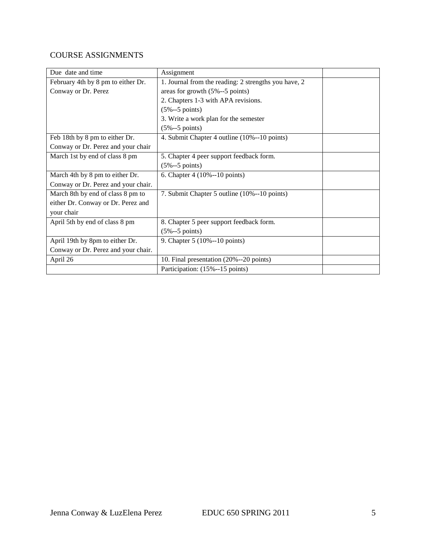# COURSE ASSIGNMENTS

| Due date and time                   | Assignment                                           |
|-------------------------------------|------------------------------------------------------|
| February 4th by 8 pm to either Dr.  | 1. Journal from the reading: 2 strengths you have, 2 |
| Conway or Dr. Perez                 | areas for growth (5%--5 points)                      |
|                                     | 2. Chapters 1-3 with APA revisions.                  |
|                                     | $(5% - 5 points)$                                    |
|                                     | 3. Write a work plan for the semester                |
|                                     | $(5% - 5 points)$                                    |
| Feb 18th by 8 pm to either Dr.      | 4. Submit Chapter 4 outline (10%--10 points)         |
| Conway or Dr. Perez and your chair  |                                                      |
| March 1st by end of class 8 pm      | 5. Chapter 4 peer support feedback form.             |
|                                     | $(5% - 5 points)$                                    |
| March 4th by 8 pm to either Dr.     | 6. Chapter 4 (10%--10 points)                        |
| Conway or Dr. Perez and your chair. |                                                      |
| March 8th by end of class 8 pm to   | 7. Submit Chapter 5 outline (10%--10 points)         |
| either Dr. Conway or Dr. Perez and  |                                                      |
| your chair                          |                                                      |
| April 5th by end of class 8 pm      | 8. Chapter 5 peer support feedback form.             |
|                                     | $(5% -5$ points)                                     |
| April 19th by 8pm to either Dr.     | 9. Chapter 5 (10%--10 points)                        |
| Conway or Dr. Perez and your chair. |                                                      |
| April 26                            | 10. Final presentation (20%--20 points)              |
|                                     | Participation: (15%--15 points)                      |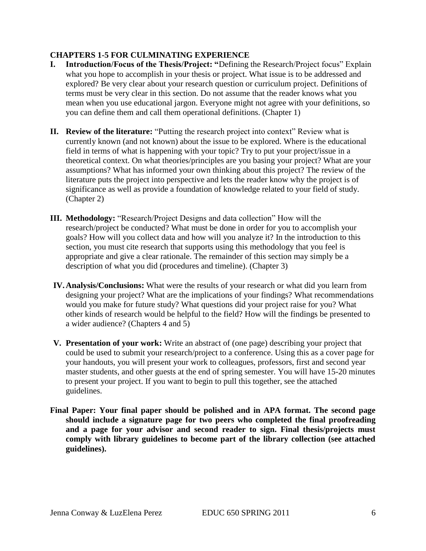# **CHAPTERS 1-5 FOR CULMINATING EXPERIENCE**

- **I. Introduction/Focus of the Thesis/Project: "**Defining the Research/Project focus" Explain what you hope to accomplish in your thesis or project. What issue is to be addressed and explored? Be very clear about your research question or curriculum project. Definitions of terms must be very clear in this section. Do not assume that the reader knows what you mean when you use educational jargon. Everyone might not agree with your definitions, so you can define them and call them operational definitions. (Chapter 1)
- **II. Review of the literature:** "Putting the research project into context" Review what is currently known (and not known) about the issue to be explored. Where is the educational field in terms of what is happening with your topic? Try to put your project/issue in a theoretical context. On what theories/principles are you basing your project? What are your assumptions? What has informed your own thinking about this project? The review of the literature puts the project into perspective and lets the reader know why the project is of significance as well as provide a foundation of knowledge related to your field of study. (Chapter 2)
- **III. Methodology:** "Research/Project Designs and data collection" How will the research/project be conducted? What must be done in order for you to accomplish your goals? How will you collect data and how will you analyze it? In the introduction to this section, you must cite research that supports using this methodology that you feel is appropriate and give a clear rationale. The remainder of this section may simply be a description of what you did (procedures and timeline). (Chapter 3)
- **IV.Analysis/Conclusions:** What were the results of your research or what did you learn from designing your project? What are the implications of your findings? What recommendations would you make for future study? What questions did your project raise for you? What other kinds of research would be helpful to the field? How will the findings be presented to a wider audience? (Chapters 4 and 5)
- **V. Presentation of your work:** Write an abstract of (one page) describing your project that could be used to submit your research/project to a conference. Using this as a cover page for your handouts, you will present your work to colleagues, professors, first and second year master students, and other guests at the end of spring semester. You will have 15-20 minutes to present your project. If you want to begin to pull this together, see the attached guidelines.
- **Final Paper: Your final paper should be polished and in APA format. The second page should include a signature page for two peers who completed the final proofreading and a page for your advisor and second reader to sign. Final thesis/projects must comply with library guidelines to become part of the library collection (see attached guidelines).**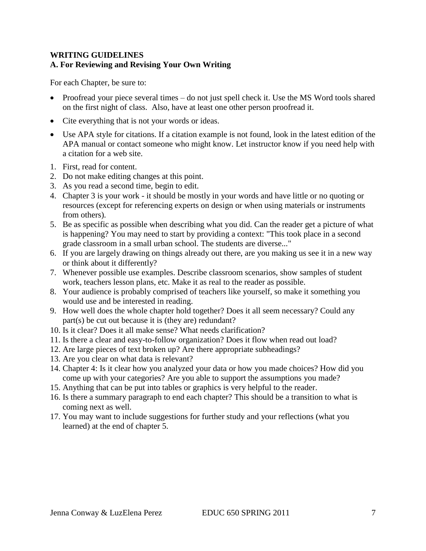# **WRITING GUIDELINES A. For Reviewing and Revising Your Own Writing**

For each Chapter, be sure to:

- Proofread your piece several times do not just spell check it. Use the MS Word tools shared on the first night of class. Also, have at least one other person proofread it.
- Cite everything that is not your words or ideas.
- Use APA style for citations. If a citation example is not found, look in the latest edition of the APA manual or contact someone who might know. Let instructor know if you need help with a citation for a web site.
- 1. First, read for content.
- 2. Do not make editing changes at this point.
- 3. As you read a second time, begin to edit.
- 4. Chapter 3 is your work it should be mostly in your words and have little or no quoting or resources (except for referencing experts on design or when using materials or instruments from others).
- 5. Be as specific as possible when describing what you did. Can the reader get a picture of what is happening? You may need to start by providing a context: "This took place in a second grade classroom in a small urban school. The students are diverse..."
- 6. If you are largely drawing on things already out there, are you making us see it in a new way or think about it differently?
- 7. Whenever possible use examples. Describe classroom scenarios, show samples of student work, teachers lesson plans, etc. Make it as real to the reader as possible.
- 8. Your audience is probably comprised of teachers like yourself, so make it something you would use and be interested in reading.
- 9. How well does the whole chapter hold together? Does it all seem necessary? Could any part(s) be cut out because it is (they are) redundant?
- 10. Is it clear? Does it all make sense? What needs clarification?
- 11. Is there a clear and easy-to-follow organization? Does it flow when read out load?
- 12. Are large pieces of text broken up? Are there appropriate subheadings?
- 13. Are you clear on what data is relevant?
- 14. Chapter 4: Is it clear how you analyzed your data or how you made choices? How did you come up with your categories? Are you able to support the assumptions you made?
- 15. Anything that can be put into tables or graphics is very helpful to the reader.
- 16. Is there a summary paragraph to end each chapter? This should be a transition to what is coming next as well.
- 17. You may want to include suggestions for further study and your reflections (what you learned) at the end of chapter 5.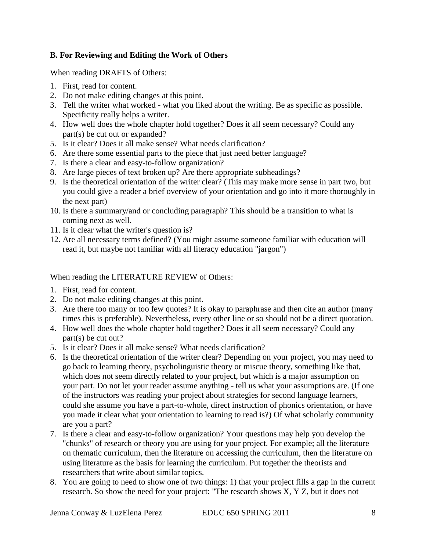# **B. For Reviewing and Editing the Work of Others**

When reading DRAFTS of Others:

- 1. First, read for content.
- 2. Do not make editing changes at this point.
- 3. Tell the writer what worked what you liked about the writing. Be as specific as possible. Specificity really helps a writer.
- 4. How well does the whole chapter hold together? Does it all seem necessary? Could any part(s) be cut out or expanded?
- 5. Is it clear? Does it all make sense? What needs clarification?
- 6. Are there some essential parts to the piece that just need better language?
- 7. Is there a clear and easy-to-follow organization?
- 8. Are large pieces of text broken up? Are there appropriate subheadings?
- 9. Is the theoretical orientation of the writer clear? (This may make more sense in part two, but you could give a reader a brief overview of your orientation and go into it more thoroughly in the next part)
- 10. Is there a summary/and or concluding paragraph? This should be a transition to what is coming next as well.
- 11. Is it clear what the writer's question is?
- 12. Are all necessary terms defined? (You might assume someone familiar with education will read it, but maybe not familiar with all literacy education "jargon")

When reading the LITERATURE REVIEW of Others:

- 1. First, read for content.
- 2. Do not make editing changes at this point.
- 3. Are there too many or too few quotes? It is okay to paraphrase and then cite an author (many times this is preferable). Nevertheless, every other line or so should not be a direct quotation.
- 4. How well does the whole chapter hold together? Does it all seem necessary? Could any part(s) be cut out?
- 5. Is it clear? Does it all make sense? What needs clarification?
- 6. Is the theoretical orientation of the writer clear? Depending on your project, you may need to go back to learning theory, psycholinguistic theory or miscue theory, something like that, which does not seem directly related to your project, but which is a major assumption on your part. Do not let your reader assume anything - tell us what your assumptions are. (If one of the instructors was reading your project about strategies for second language learners, could she assume you have a part-to-whole, direct instruction of phonics orientation, or have you made it clear what your orientation to learning to read is?) Of what scholarly community are you a part?
- 7. Is there a clear and easy-to-follow organization? Your questions may help you develop the "chunks" of research or theory you are using for your project. For example; all the literature on thematic curriculum, then the literature on accessing the curriculum, then the literature on using literature as the basis for learning the curriculum. Put together the theorists and researchers that write about similar topics.
- 8. You are going to need to show one of two things: 1) that your project fills a gap in the current research. So show the need for your project: "The research shows X, Y Z, but it does not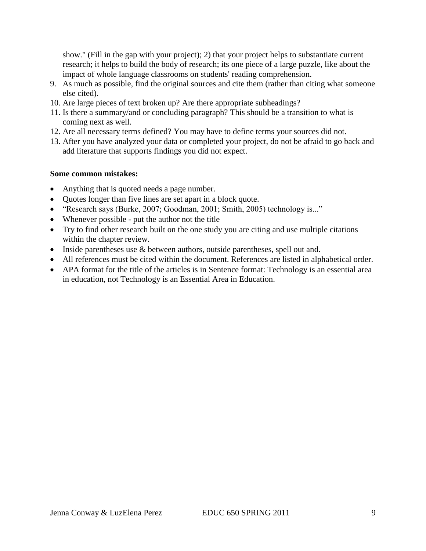show." (Fill in the gap with your project); 2) that your project helps to substantiate current research; it helps to build the body of research; its one piece of a large puzzle, like about the impact of whole language classrooms on students' reading comprehension.

- 9. As much as possible, find the original sources and cite them (rather than citing what someone else cited).
- 10. Are large pieces of text broken up? Are there appropriate subheadings?
- 11. Is there a summary/and or concluding paragraph? This should be a transition to what is coming next as well.
- 12. Are all necessary terms defined? You may have to define terms your sources did not.
- 13. After you have analyzed your data or completed your project, do not be afraid to go back and add literature that supports findings you did not expect.

#### **Some common mistakes:**

- Anything that is quoted needs a page number.
- Quotes longer than five lines are set apart in a block quote.
- "Research says (Burke, 2007; Goodman, 2001; Smith, 2005) technology is..."
- Whenever possible put the author not the title
- Try to find other research built on the one study you are citing and use multiple citations within the chapter review.
- Inside parentheses use & between authors, outside parentheses, spell out and.
- All references must be cited within the document. References are listed in alphabetical order.
- APA format for the title of the articles is in Sentence format: Technology is an essential area in education, not Technology is an Essential Area in Education.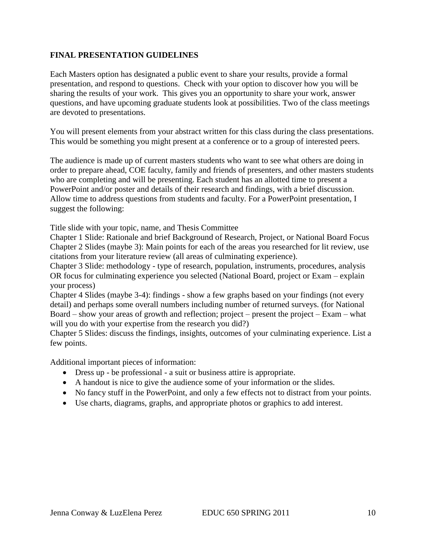### **FINAL PRESENTATION GUIDELINES**

Each Masters option has designated a public event to share your results, provide a formal presentation, and respond to questions. Check with your option to discover how you will be sharing the results of your work. This gives you an opportunity to share your work, answer questions, and have upcoming graduate students look at possibilities. Two of the class meetings are devoted to presentations.

You will present elements from your abstract written for this class during the class presentations. This would be something you might present at a conference or to a group of interested peers.

The audience is made up of current masters students who want to see what others are doing in order to prepare ahead, COE faculty, family and friends of presenters, and other masters students who are completing and will be presenting. Each student has an allotted time to present a PowerPoint and/or poster and details of their research and findings, with a brief discussion. Allow time to address questions from students and faculty. For a PowerPoint presentation, I suggest the following:

Title slide with your topic, name, and Thesis Committee

Chapter 1 Slide: Rationale and brief Background of Research, Project, or National Board Focus Chapter 2 Slides (maybe 3): Main points for each of the areas you researched for lit review, use citations from your literature review (all areas of culminating experience).

Chapter 3 Slide: methodology - type of research, population, instruments, procedures, analysis OR focus for culminating experience you selected (National Board, project or Exam – explain your process)

Chapter 4 Slides (maybe 3-4): findings - show a few graphs based on your findings (not every detail) and perhaps some overall numbers including number of returned surveys. (for National Board – show your areas of growth and reflection; project – present the project – Exam – what will you do with your expertise from the research you did?)

Chapter 5 Slides: discuss the findings, insights, outcomes of your culminating experience. List a few points.

Additional important pieces of information:

- Dress up be professional a suit or business attire is appropriate.
- A handout is nice to give the audience some of your information or the slides.
- No fancy stuff in the PowerPoint, and only a few effects not to distract from your points.
- Use charts, diagrams, graphs, and appropriate photos or graphics to add interest.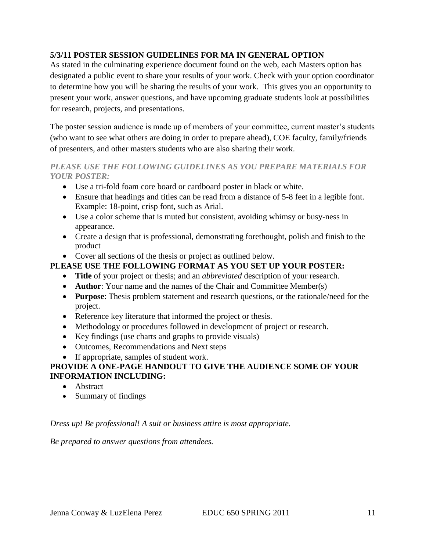# **5/3/11 POSTER SESSION GUIDELINES FOR MA IN GENERAL OPTION**

As stated in the culminating experience document found on the web, each Masters option has designated a public event to share your results of your work. Check with your option coordinator to determine how you will be sharing the results of your work. This gives you an opportunity to present your work, answer questions, and have upcoming graduate students look at possibilities for research, projects, and presentations.

The poster session audience is made up of members of your committee, current master's students (who want to see what others are doing in order to prepare ahead), COE faculty, family/friends of presenters, and other masters students who are also sharing their work.

# *PLEASE USE THE FOLLOWING GUIDELINES AS YOU PREPARE MATERIALS FOR YOUR POSTER:*

- Use a tri-fold foam core board or cardboard poster in black or white.
- Ensure that headings and titles can be read from a distance of 5-8 feet in a legible font. Example: 18-point, crisp font, such as Arial.
- Use a color scheme that is muted but consistent, avoiding whimsy or busy-ness in appearance.
- Create a design that is professional, demonstrating forethought, polish and finish to the product
- Cover all sections of the thesis or project as outlined below.

# **PLEASE USE THE FOLLOWING FORMAT AS YOU SET UP YOUR POSTER:**

- **Title** of your project or thesis; and an *abbreviated* description of your research.
- **Author**: Your name and the names of the Chair and Committee Member(s)
- **Purpose**: Thesis problem statement and research questions, or the rationale/need for the project.
- Reference key literature that informed the project or thesis.
- Methodology or procedures followed in development of project or research.
- Key findings (use charts and graphs to provide visuals)
- Outcomes, Recommendations and Next steps
- If appropriate, samples of student work.

# **PROVIDE A ONE-PAGE HANDOUT TO GIVE THE AUDIENCE SOME OF YOUR INFORMATION INCLUDING:**

- Abstract
- Summary of findings

# *Dress up! Be professional! A suit or business attire is most appropriate.*

*Be prepared to answer questions from attendees.*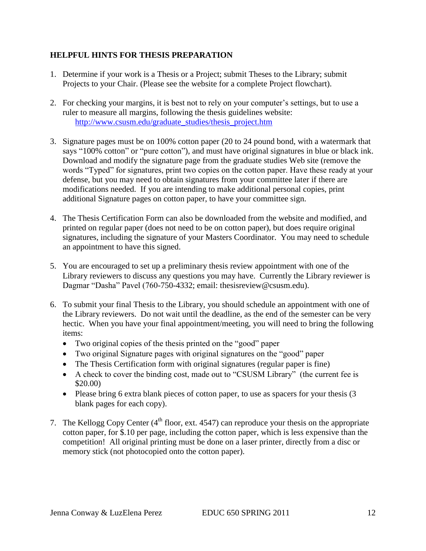# **HELPFUL HINTS FOR THESIS PREPARATION**

- 1. Determine if your work is a Thesis or a Project; submit Theses to the Library; submit Projects to your Chair. (Please see the website for a complete Project flowchart).
- 2. For checking your margins, it is best not to rely on your computer's settings, but to use a ruler to measure all margins, following the thesis guidelines website: [http://www.csusm.edu/graduate\\_studies/thesis\\_project.htm](http://www.csusm.edu/graduate_studies/thesis_project.htm)
- 3. Signature pages must be on 100% cotton paper (20 to 24 pound bond, with a watermark that says "100% cotton" or "pure cotton"), and must have original signatures in blue or black ink. Download and modify the signature page from the graduate studies Web site (remove the words "Typed" for signatures, print two copies on the cotton paper. Have these ready at your defense, but you may need to obtain signatures from your committee later if there are modifications needed. If you are intending to make additional personal copies, print additional Signature pages on cotton paper, to have your committee sign.
- 4. The Thesis Certification Form can also be downloaded from the website and modified, and printed on regular paper (does not need to be on cotton paper), but does require original signatures, including the signature of your Masters Coordinator. You may need to schedule an appointment to have this signed.
- 5. You are encouraged to set up a preliminary thesis review appointment with one of the Library reviewers to discuss any questions you may have. Currently the Library reviewer is Dagmar "Dasha" Pavel (760-750-4332; email: thesisreview@csusm.edu).
- 6. To submit your final Thesis to the Library, you should schedule an appointment with one of the Library reviewers. Do not wait until the deadline, as the end of the semester can be very hectic. When you have your final appointment/meeting, you will need to bring the following items:
	- Two original copies of the thesis printed on the "good" paper
	- Two original Signature pages with original signatures on the "good" paper
	- The Thesis Certification form with original signatures (regular paper is fine)
	- A check to cover the binding cost, made out to "CSUSM Library" (the current fee is \$20.00)
	- Please bring 6 extra blank pieces of cotton paper, to use as spacers for your thesis (3 blank pages for each copy).
- 7. The Kellogg Copy Center  $(4<sup>th</sup>$  floor, ext. 4547) can reproduce your thesis on the appropriate cotton paper, for \$.10 per page, including the cotton paper, which is less expensive than the competition! All original printing must be done on a laser printer, directly from a disc or memory stick (not photocopied onto the cotton paper).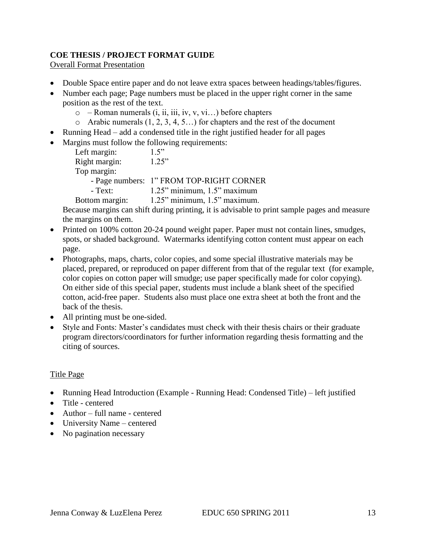# **COE THESIS / PROJECT FORMAT GUIDE**

Overall Format Presentation

- Double Space entire paper and do not leave extra spaces between headings/tables/figures.
- Number each page; Page numbers must be placed in the upper right corner in the same position as the rest of the text.
	- $\circ$  Roman numerals (i, ii, iii, iv, v, vi...) before chapters
	- o Arabic numerals  $(1, 2, 3, 4, 5...)$  for chapters and the rest of the document
- Running Head add a condensed title in the right justified header for all pages
- Margins must follow the following requirements:

| Left margin:   | 1.5"                                     |
|----------------|------------------------------------------|
| Right margin:  | 1.25"                                    |
| Top margin:    |                                          |
|                | - Page numbers: 1" FROM TOP-RIGHT CORNER |
| $-$ Text:      | $1.25$ " minimum, $1.5$ " maximum        |
| Bottom margin: | $1.25$ " minimum, $1.5$ " maximum.       |

Because margins can shift during printing, it is advisable to print sample pages and measure the margins on them.

- Printed on 100% cotton 20-24 pound weight paper. Paper must not contain lines, smudges, spots, or shaded background. Watermarks identifying cotton content must appear on each page.
- Photographs, maps, charts, color copies, and some special illustrative materials may be placed, prepared, or reproduced on paper different from that of the regular text (for example, color copies on cotton paper will smudge; use paper specifically made for color copying). On either side of this special paper, students must include a blank sheet of the specified cotton, acid-free paper. Students also must place one extra sheet at both the front and the back of the thesis.
- All printing must be one-sided.
- Style and Fonts: Master's candidates must check with their thesis chairs or their graduate program directors/coordinators for further information regarding thesis formatting and the citing of sources.

#### Title Page

- Running Head Introduction (Example Running Head: Condensed Title) left justified
- Title centered
- Author full name centered
- University Name centered
- No pagination necessary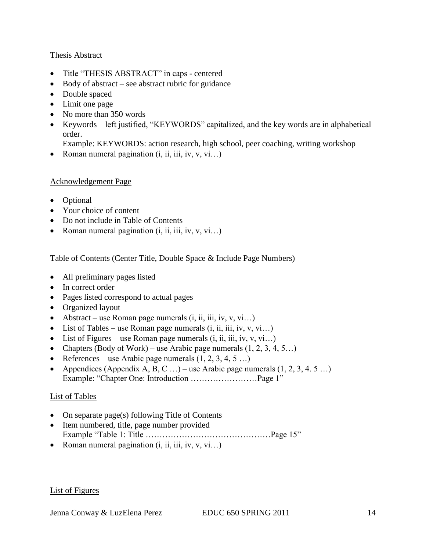### Thesis Abstract

- Title "THESIS ABSTRACT" in caps centered
- Body of abstract see abstract rubric for guidance
- Double spaced
- Limit one page
- No more than 350 words
- Keywords left justified, "KEYWORDS" capitalized, and the key words are in alphabetical order.
	- Example: KEYWORDS: action research, high school, peer coaching, writing workshop
- Roman numeral pagination  $(i, ii, iii, iv, v, vi...)$

### Acknowledgement Page

- Optional
- Your choice of content
- Do not include in Table of Contents
- Roman numeral pagination  $(i, ii, iii, iv, v, vi...)$

# Table of Contents (Center Title, Double Space & Include Page Numbers)

- All preliminary pages listed
- In correct order
- Pages listed correspond to actual pages
- Organized layout
- Abstract use Roman page numerals  $(i, ii, iii, iv, v, vi...)$
- List of Tables use Roman page numerals  $(i, ii, iii, iv, v, vi...)$
- List of Figures use Roman page numerals  $(i, ii, iii, iv, v, vi...)$
- Chapters (Body of Work) use Arabic page numerals  $(1, 2, 3, 4, 5...)$
- References use Arabic page numerals  $(1, 2, 3, 4, 5 ...)$
- Appendices (Appendix A, B, C ...) use Arabic page numerals  $(1, 2, 3, 4, 5 ...)$ Example: "Chapter One: Introduction ……………………Page 1"

# List of Tables

- On separate page(s) following Title of Contents
- Item numbered, title, page number provided Example "Table 1: Title ………………………………………Page 15"
- Roman numeral pagination  $(i, ii, iii, iv, v, vi...)$

#### List of Figures